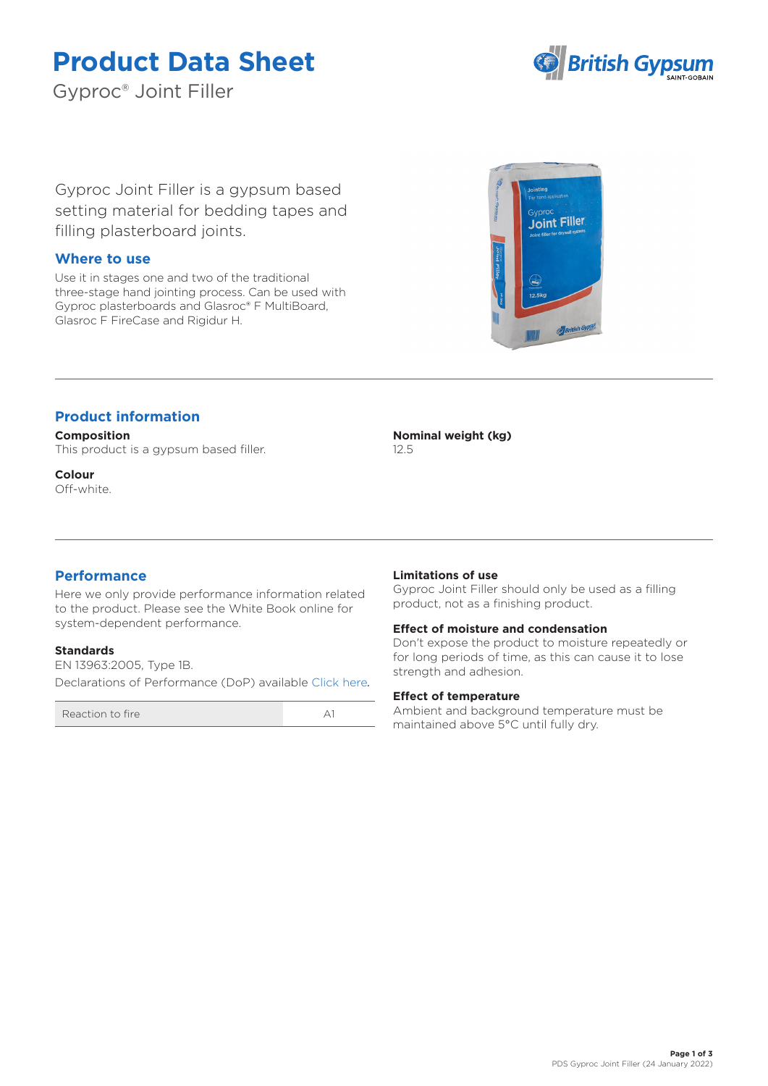# **Product Data Sheet**

Gyproc® Joint Filler



Gyproc Joint Filler is a gypsum based setting material for bedding tapes and filling plasterboard joints.

### **Where to use**

Use it in stages one and two of the traditional three-stage hand jointing process. Can be used with Gyproc plasterboards and Glasroc® F MultiBoard, Glasroc F FireCase and Rigidur H.



## **Product information**

**Composition** This product is a gypsum based filler.

**Colour** Off-white. **Nominal weight (kg)** 12.5

## **Performance**

Here we only provide performance information related to the product. Please see the White Book online for system-dependent performance.

#### **Standards**

EN 13963:2005, Type 1B. Declarations of Performance (DoP) available [Click here](https://www.british-gypsum.com/DoP)*.*

Reaction to fire A1

#### **Limitations of use**

Gyproc Joint Filler should only be used as a filling product, not as a finishing product.

#### **Effect of moisture and condensation**

Don't expose the product to moisture repeatedly or for long periods of time, as this can cause it to lose strength and adhesion.

#### **Effect of temperature**

Ambient and background temperature must be maintained above 5°C until fully dry.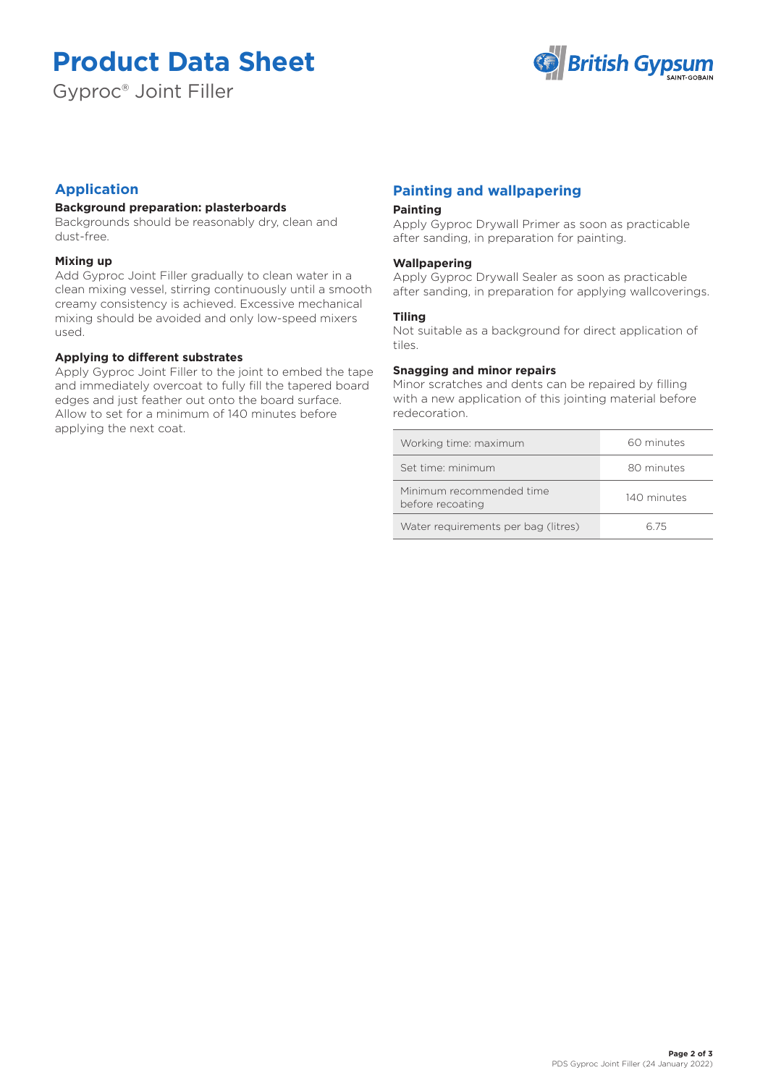# **Product Data Sheet**

Gyproc® Joint Filler



## **Application**

#### **Background preparation: plasterboards**

Backgrounds should be reasonably dry, clean and dust-free.

#### **Mixing up**

Add Gyproc Joint Filler gradually to clean water in a clean mixing vessel, stirring continuously until a smooth creamy consistency is achieved. Excessive mechanical mixing should be avoided and only low-speed mixers used.

#### **Applying to different substrates**

Apply Gyproc Joint Filler to the joint to embed the tape and immediately overcoat to fully fill the tapered board edges and just feather out onto the board surface. Allow to set for a minimum of 140 minutes before applying the next coat.

## **Painting and wallpapering**

#### **Painting**

Apply Gyproc Drywall Primer as soon as practicable after sanding, in preparation for painting.

#### **Wallpapering**

Apply Gyproc Drywall Sealer as soon as practicable after sanding, in preparation for applying wallcoverings.

#### **Tiling**

Not suitable as a background for direct application of tiles.

#### **Snagging and minor repairs**

Minor scratches and dents can be repaired by filling with a new application of this jointing material before redecoration.

| Working time: maximum                        | 60 minutes  |
|----------------------------------------------|-------------|
| Set time: minimum                            | 80 minutes  |
| Minimum recommended time<br>before recoating | 140 minutes |
| Water requirements per bag (litres)          | հ 75        |